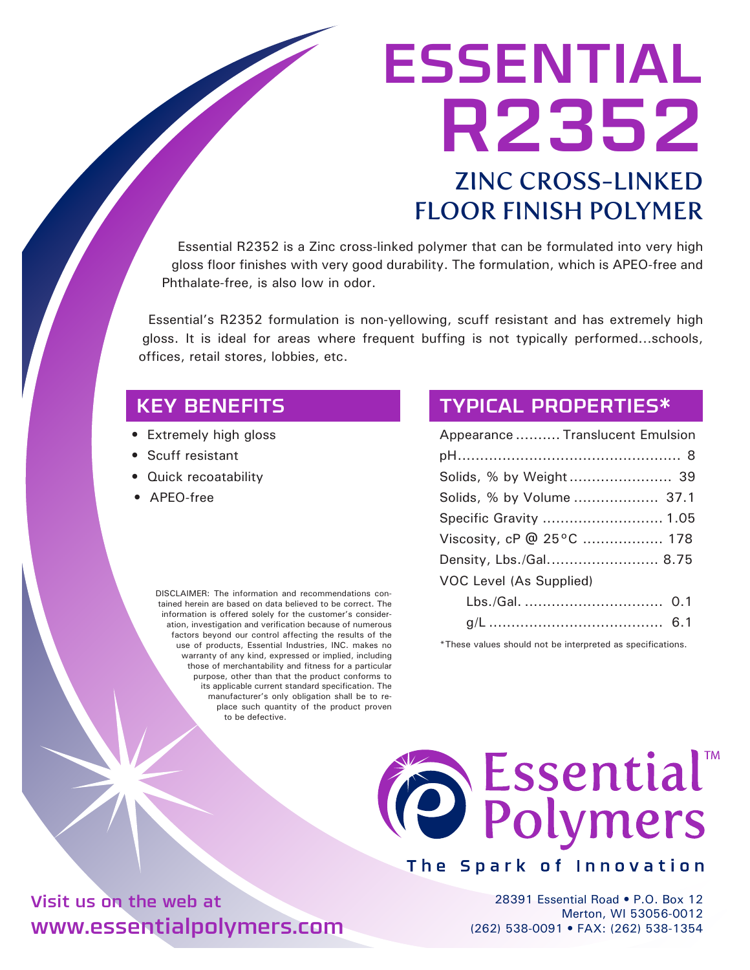# ESSENTIAL R2352 ZINC CROSS-LINKED FLOOR FINISH POLYMER

Essential R2352 is a Zinc cross-linked polymer that can be formulated into very high gloss floor finishes with very good durability. The formulation, which is APEO-free and Phthalate-free, is also low in odor.

Essential's R2352 formulation is non-yellowing, scuff resistant and has extremely high gloss. It is ideal for areas where frequent buffing is not typically performed...schools, offices, retail stores, lobbies, etc.

## KEY BENEFITS

- Extremely high gloss
- Scuff resistant
- Quick recoatability
- APEO-free

DISCLAIMER: The information and recommendations contained herein are based on data believed to be correct. The information is offered solely for the customer's consideration, investigation and verification because of numerous factors beyond our control affecting the results of the use of products, Essential Industries, INC. makes no warranty of any kind, expressed or implied, including those of merchantability and fitness for a particular purpose, other than that the product conforms to its applicable current standard specification. The manufacturer's only obligation shall be to replace such quantity of the product proven to be defective.

### TYPICAL PROPERTIES\*

| Appearance  Translucent Emulsion |
|----------------------------------|
|                                  |
|                                  |
| Solids, % by Volume  37.1        |
| Specific Gravity  1.05           |
| Viscosity, cP @ 25°C  178        |
| Density, Lbs./Gal 8.75           |
| VOC Level (As Supplied)          |
|                                  |
|                                  |

\*These values should not be interpreted as specifications.



### The Spark of Innovation

28391 Essential Road • P.O. Box 12 Merton, WI 53056-0012 (262) 538-0091 • FAX: (262) 538-1354

Visit us on the web at www.essentialpolymers.com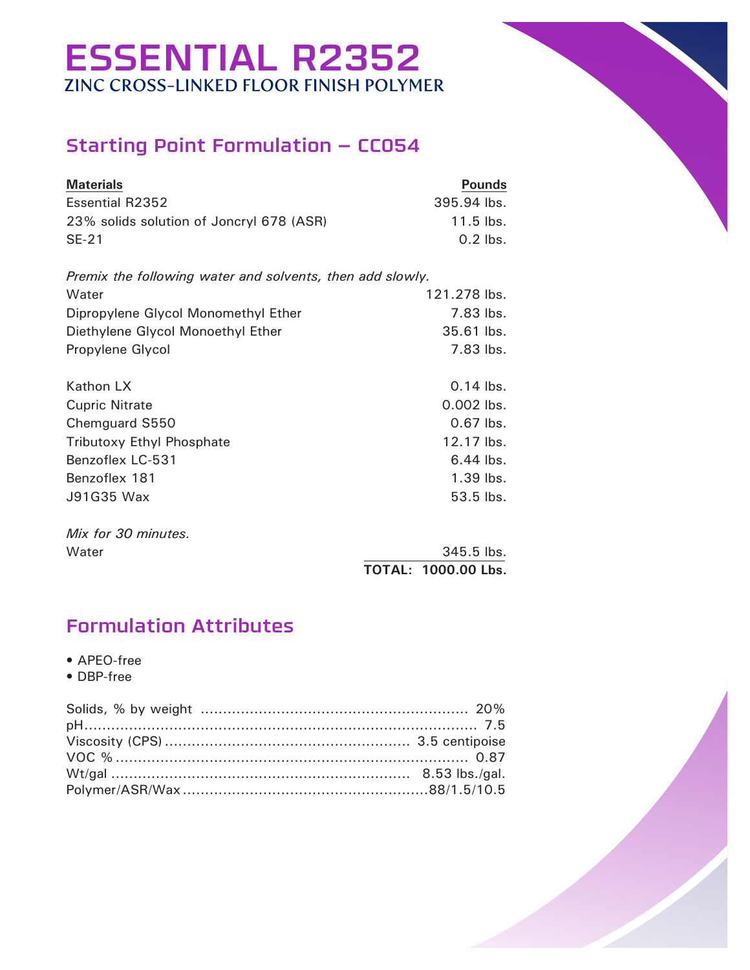## ESSENTIAL R2352 ZINC CROSS-LINKED FLOOR FINISH POLYMER

## Starting Point Formulation – CC054

| <b>Materials</b>                         | <b>Pounds</b> |
|------------------------------------------|---------------|
| Essential R2352                          | 395.94 lbs.   |
| 23% solids solution of Joncryl 678 (ASR) | $11.5$ lbs.   |
| $SE-21$                                  | $0.2$ lbs.    |

| Premix the following water and solvents, then add slowly. |              |
|-----------------------------------------------------------|--------------|
| Water                                                     | 121.278 lbs. |
| Dipropylene Glycol Monomethyl Ether                       | 7.83 lbs.    |
| Diethylene Glycol Monoethyl Ether                         | 35.61 lbs.   |
| Propylene Glycol                                          | 7.83 lbs.    |
| Kathon LX                                                 | $0.14$ lbs.  |
| <b>Cupric Nitrate</b>                                     | $0.002$ lbs. |
| Chemguard S550                                            | $0.67$ lbs.  |
| <b>Tributoxy Ethyl Phosphate</b>                          | 12.17 lbs.   |
| Benzoflex LC-531                                          | $6.44$ lbs.  |
| Benzoflex 181                                             | $1.39$ lbs.  |
| J91G35 Wax                                                | 53.5 lbs.    |

*Mix for 30 minutes.*

Water 345.5 lbs.  **TOTAL: 1000.00 Lbs.**

## Formulation Attributes

- APEO-free
- DBP-free